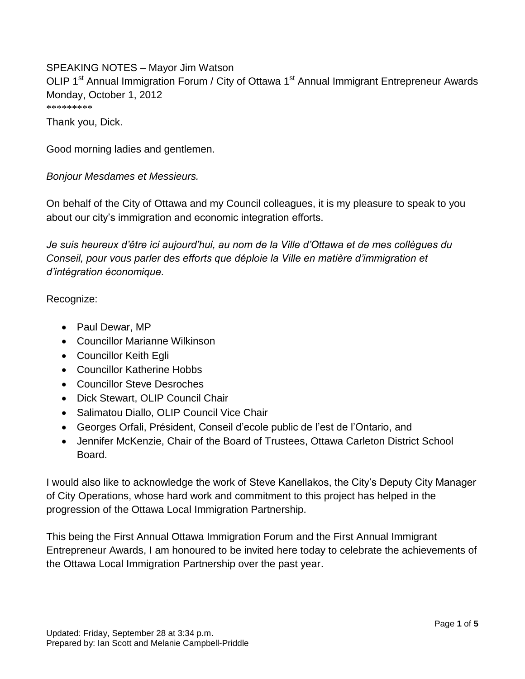SPEAKING NOTES – Mayor Jim Watson OLIP 1<sup>st</sup> Annual Immigration Forum / City of Ottawa 1<sup>st</sup> Annual Immigrant Entrepreneur Awards Monday, October 1, 2012 \*\*\*\*\*\*\*\*\*

Thank you, Dick.

Good morning ladies and gentlemen.

*Bonjour Mesdames et Messieurs.*

On behalf of the City of Ottawa and my Council colleagues, it is my pleasure to speak to you about our city's immigration and economic integration efforts.

*Je suis heureux d'être ici aujourd'hui, au nom de la Ville d'Ottawa et de mes collègues du Conseil, pour vous parler des efforts que déploie la Ville en matière d'immigration et d'intégration économique.*

Recognize:

- Paul Dewar, MP
- Councillor Marianne Wilkinson
- Councillor Keith Egli
- Councillor Katherine Hobbs
- Councillor Steve Desroches
- Dick Stewart, OLIP Council Chair
- Salimatou Diallo, OLIP Council Vice Chair
- Georges Orfali, Président, Conseil d'ecole public de l'est de l'Ontario, and
- Jennifer McKenzie, Chair of the Board of Trustees, Ottawa Carleton District School Board.

I would also like to acknowledge the work of Steve Kanellakos, the City's Deputy City Manager of City Operations, whose hard work and commitment to this project has helped in the progression of the Ottawa Local Immigration Partnership.

This being the First Annual Ottawa Immigration Forum and the First Annual Immigrant Entrepreneur Awards, I am honoured to be invited here today to celebrate the achievements of the Ottawa Local Immigration Partnership over the past year.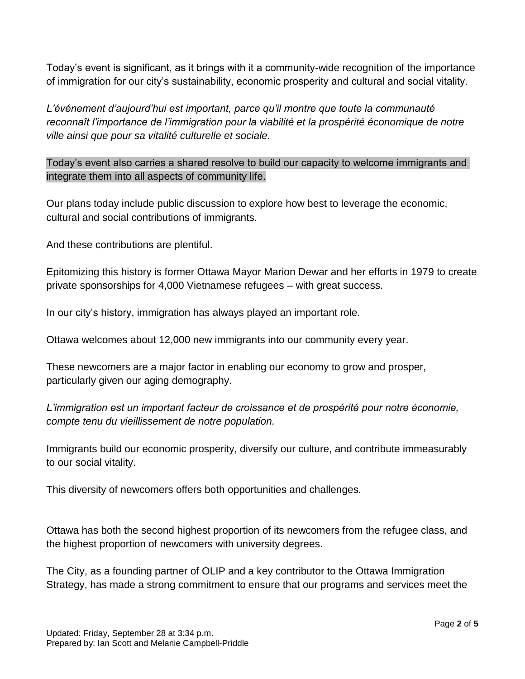Today's event is significant, as it brings with it a community-wide recognition of the importance of immigration for our city's sustainability, economic prosperity and cultural and social vitality.

*L'événement d'aujourd'hui est important, parce qu'il montre que toute la communauté reconnaît l'importance de l'immigration pour la viabilité et la prospérité économique de notre ville ainsi que pour sa vitalité culturelle et sociale.*

Today's event also carries a shared resolve to build our capacity to welcome immigrants and integrate them into all aspects of community life.

Our plans today include public discussion to explore how best to leverage the economic, cultural and social contributions of immigrants.

And these contributions are plentiful.

Epitomizing this history is former Ottawa Mayor Marion Dewar and her efforts in 1979 to create private sponsorships for 4,000 Vietnamese refugees – with great success.

In our city's history, immigration has always played an important role.

Ottawa welcomes about 12,000 new immigrants into our community every year.

These newcomers are a major factor in enabling our economy to grow and prosper, particularly given our aging demography.

*L'immigration est un important facteur de croissance et de prospérité pour notre économie, compte tenu du vieillissement de notre population.*

Immigrants build our economic prosperity, diversify our culture, and contribute immeasurably to our social vitality.

This diversity of newcomers offers both opportunities and challenges.

Ottawa has both the second highest proportion of its newcomers from the refugee class, and the highest proportion of newcomers with university degrees.

The City, as a founding partner of OLIP and a key contributor to the Ottawa Immigration Strategy, has made a strong commitment to ensure that our programs and services meet the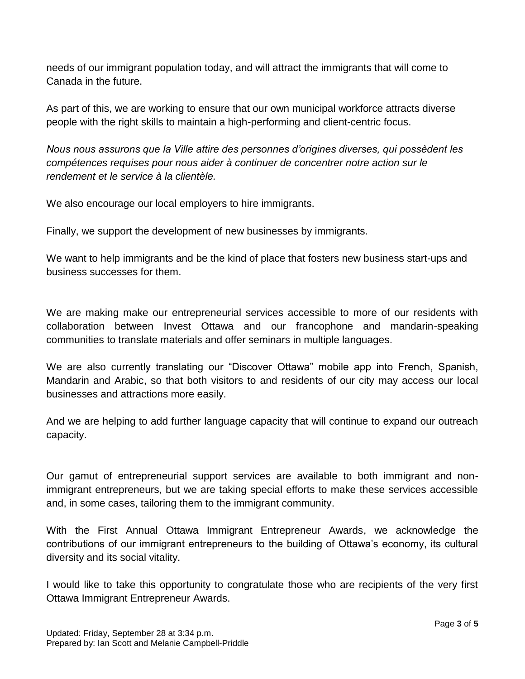needs of our immigrant population today, and will attract the immigrants that will come to Canada in the future.

As part of this, we are working to ensure that our own municipal workforce attracts diverse people with the right skills to maintain a high-performing and client-centric focus.

*Nous nous assurons que la Ville attire des personnes d'origines diverses, qui possèdent les compétences requises pour nous aider à continuer de concentrer notre action sur le rendement et le service à la clientèle.*

We also encourage our local employers to hire immigrants.

Finally, we support the development of new businesses by immigrants.

We want to help immigrants and be the kind of place that fosters new business start-ups and business successes for them.

We are making make our entrepreneurial services accessible to more of our residents with collaboration between Invest Ottawa and our francophone and mandarin-speaking communities to translate materials and offer seminars in multiple languages.

We are also currently translating our "Discover Ottawa" mobile app into French, Spanish, Mandarin and Arabic, so that both visitors to and residents of our city may access our local businesses and attractions more easily.

And we are helping to add further language capacity that will continue to expand our outreach capacity.

Our gamut of entrepreneurial support services are available to both immigrant and nonimmigrant entrepreneurs, but we are taking special efforts to make these services accessible and, in some cases, tailoring them to the immigrant community.

With the First Annual Ottawa Immigrant Entrepreneur Awards, we acknowledge the contributions of our immigrant entrepreneurs to the building of Ottawa's economy, its cultural diversity and its social vitality.

I would like to take this opportunity to congratulate those who are recipients of the very first Ottawa Immigrant Entrepreneur Awards.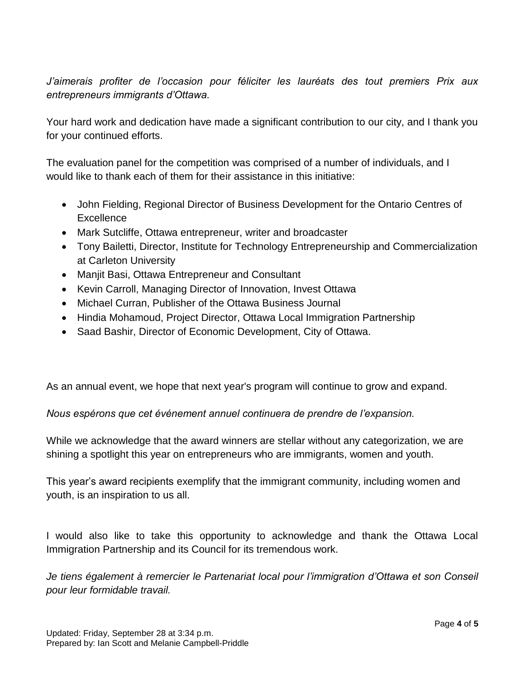*J'aimerais profiter de l'occasion pour féliciter les lauréats des tout premiers Prix aux entrepreneurs immigrants d'Ottawa.*

Your hard work and dedication have made a significant contribution to our city, and I thank you for your continued efforts.

The evaluation panel for the competition was comprised of a number of individuals, and I would like to thank each of them for their assistance in this initiative:

- John Fielding, Regional Director of Business Development for the Ontario Centres of **Excellence**
- Mark Sutcliffe, Ottawa entrepreneur, writer and broadcaster
- Tony Bailetti, Director, Institute for Technology Entrepreneurship and Commercialization at Carleton University
- Manjit Basi, Ottawa Entrepreneur and Consultant
- Kevin Carroll, Managing Director of Innovation, Invest Ottawa
- Michael Curran, Publisher of the Ottawa Business Journal
- Hindia Mohamoud, Project Director, Ottawa Local Immigration Partnership
- Saad Bashir, Director of Economic Development, City of Ottawa.

As an annual event, we hope that next year's program will continue to grow and expand.

*Nous espérons que cet événement annuel continuera de prendre de l'expansion.*

While we acknowledge that the award winners are stellar without any categorization, we are shining a spotlight this year on entrepreneurs who are immigrants, women and youth.

This year's award recipients exemplify that the immigrant community, including women and youth, is an inspiration to us all.

I would also like to take this opportunity to acknowledge and thank the Ottawa Local Immigration Partnership and its Council for its tremendous work.

*Je tiens également à remercier le Partenariat local pour l'immigration d'Ottawa et son Conseil pour leur formidable travail.*